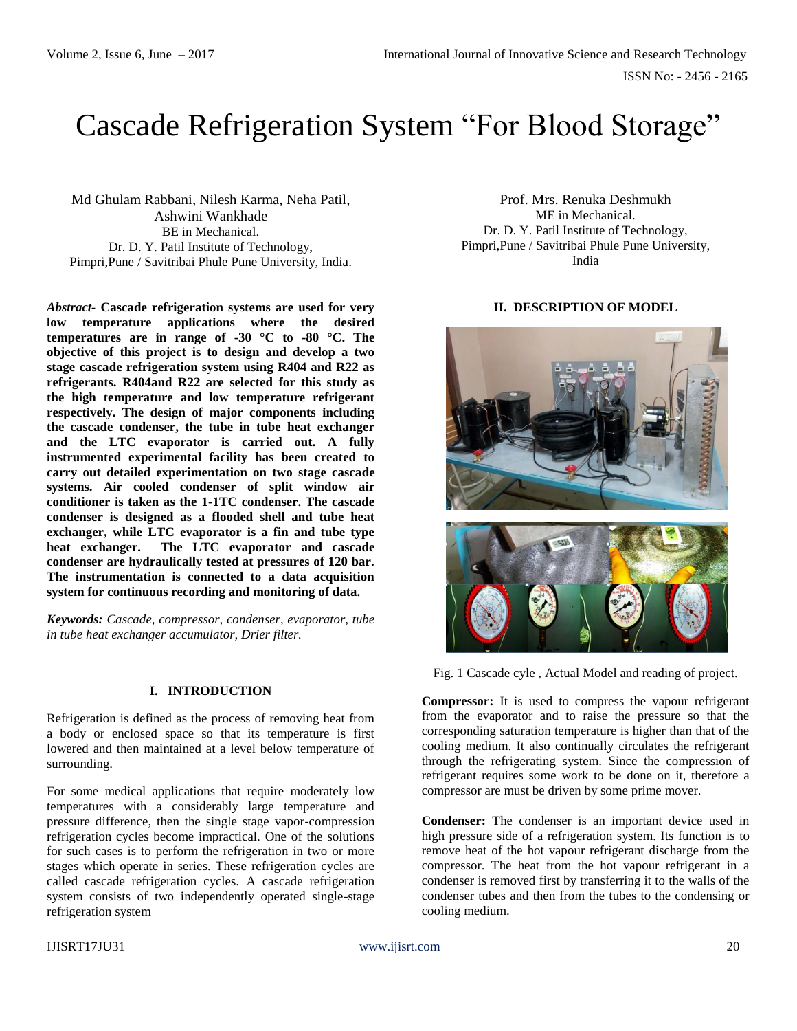# Cascade Refrigeration System "For Blood Storage"

Md Ghulam Rabbani, Nilesh Karma, Neha Patil, Ashwini Wankhade BE in Mechanical. Dr. D. Y. Patil Institute of Technology, Pimpri,Pune / Savitribai Phule Pune University, India.

*Abstract-* **Cascade refrigeration systems are used for very low temperature applications where the desired temperatures are in range of -30 °C to -80 °C. The objective of this project is to design and develop a two stage cascade refrigeration system using R404 and R22 as refrigerants. R404and R22 are selected for this study as the high temperature and low temperature refrigerant respectively. The design of major components including the cascade condenser, the tube in tube heat exchanger and the LTC evaporator is carried out. A fully instrumented experimental facility has been created to carry out detailed experimentation on two stage cascade systems. Air cooled condenser of split window air conditioner is taken as the 1-1TC condenser. The cascade condenser is designed as a flooded shell and tube heat exchanger, while LTC evaporator is a fin and tube type heat exchanger. The LTC evaporator and cascade condenser are hydraulically tested at pressures of 120 bar. The instrumentation is connected to a data acquisition system for continuous recording and monitoring of data.**

*Keywords: Cascade, compressor, condenser, evaporator, tube in tube heat exchanger accumulator, Drier filter.*

## **I. INTRODUCTION**

Refrigeration is defined as the process of removing heat from a body or enclosed space so that its temperature is first lowered and then maintained at a level below temperature of surrounding.

For some medical applications that require moderately low temperatures with a considerably large temperature and pressure difference, then the single stage vapor-compression refrigeration cycles become impractical. One of the solutions for such cases is to perform the refrigeration in two or more stages which operate in series. These refrigeration cycles are called cascade refrigeration cycles. A cascade refrigeration system consists of two independently operated single-stage refrigeration system

Prof. Mrs. Renuka Deshmukh ME in Mechanical. Dr. D. Y. Patil Institute of Technology, Pimpri,Pune / Savitribai Phule Pune University, India

## **II. DESCRIPTION OF MODEL**



Fig. 1 Cascade cyle , Actual Model and reading of project.

**Compressor:** It is used to compress the vapour refrigerant from the evaporator and to raise the pressure so that the corresponding saturation temperature is higher than that of the cooling medium. It also continually circulates the refrigerant through the refrigerating system. Since the compression of refrigerant requires some work to be done on it, therefore a compressor are must be driven by some prime mover.

**Condenser:** The condenser is an important device used in high pressure side of a refrigeration system. Its function is to remove heat of the hot vapour refrigerant discharge from the compressor. The heat from the hot vapour refrigerant in a condenser is removed first by transferring it to the walls of the condenser tubes and then from the tubes to the condensing or cooling medium.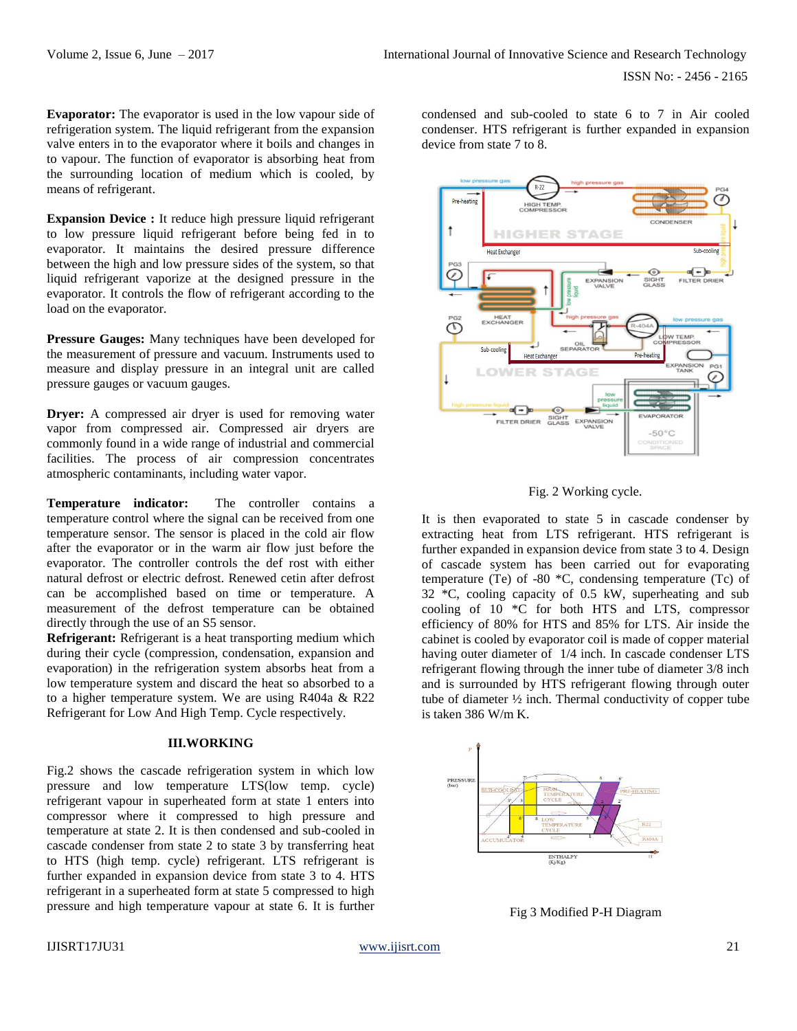**Evaporator:** The evaporator is used in the low vapour side of refrigeration system. The liquid refrigerant from the expansion valve enters in to the evaporator where it boils and changes in to vapour. The function of evaporator is absorbing heat from the surrounding location of medium which is cooled, by means of refrigerant.

**Expansion Device :** It reduce high pressure liquid refrigerant to low pressure liquid refrigerant before being fed in to evaporator. It maintains the desired pressure difference between the high and low pressure sides of the system, so that liquid refrigerant vaporize at the designed pressure in the evaporator. It controls the flow of refrigerant according to the load on the evaporator.

**Pressure Gauges:** Many techniques have been developed for the measurement of pressure and vacuum. Instruments used to measure and display pressure in an integral unit are called pressure gauges or vacuum gauges.

**Dryer:** A compressed air dryer is used for removing water vapor from compressed air. Compressed air dryers are commonly found in a wide range of industrial and commercial facilities. The process of air compression concentrates atmospheric contaminants, including water vapor.

**Temperature indicator:** The controller contains a temperature control where the signal can be received from one temperature sensor. The sensor is placed in the cold air flow after the evaporator or in the warm air flow just before the evaporator. The controller controls the def rost with either natural defrost or electric defrost. Renewed cetin after defrost can be accomplished based on time or temperature. A measurement of the defrost temperature can be obtained directly through the use of an S5 sensor.

**Refrigerant:** Refrigerant is a heat transporting medium which during their cycle (compression, condensation, expansion and evaporation) in the refrigeration system absorbs heat from a low temperature system and discard the heat so absorbed to a to a higher temperature system. We are using R404a & R22 Refrigerant for Low And High Temp. Cycle respectively.

## **III.WORKING**

Fig.2 shows the cascade refrigeration system in which low pressure and low temperature LTS(low temp. cycle) refrigerant vapour in superheated form at state 1 enters into compressor where it compressed to high pressure and temperature at state 2. It is then condensed and sub-cooled in cascade condenser from state 2 to state 3 by transferring heat to HTS (high temp. cycle) refrigerant. LTS refrigerant is further expanded in expansion device from state 3 to 4. HTS refrigerant in a superheated form at state 5 compressed to high pressure and high temperature vapour at state 6. It is further

condensed and sub-cooled to state 6 to 7 in Air cooled condenser. HTS refrigerant is further expanded in expansion device from state 7 to 8.





It is then evaporated to state 5 in cascade condenser by extracting heat from LTS refrigerant. HTS refrigerant is further expanded in expansion device from state 3 to 4. Design of cascade system has been carried out for evaporating temperature (Te) of -80 \*C, condensing temperature (Tc) of 32 \*C, cooling capacity of 0.5 kW, superheating and sub cooling of 10 \*C for both HTS and LTS, compressor efficiency of 80% for HTS and 85% for LTS. Air inside the cabinet is cooled by evaporator coil is made of copper material having outer diameter of 1/4 inch. In cascade condenser LTS refrigerant flowing through the inner tube of diameter 3/8 inch and is surrounded by HTS refrigerant flowing through outer tube of diameter ½ inch. Thermal conductivity of copper tube is taken 386 W/m K.



Fig 3 Modified P-H Diagram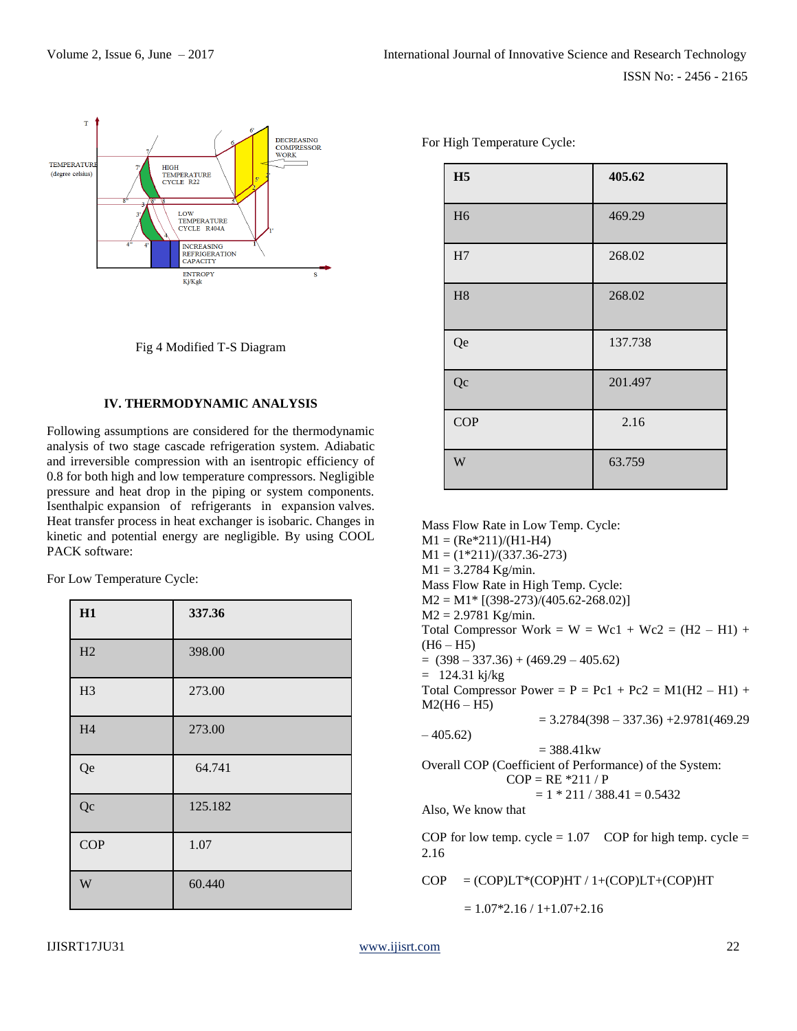

Fig 4 Modified T-S Diagram

# **IV. THERMODYNAMIC ANALYSIS**

Following assumptions are considered for the thermodynamic analysis of two stage cascade refrigeration system. Adiabatic and irreversible compression with an isentropic efficiency of 0.8 for both high and low temperature compressors. Negligible pressure and heat drop in the piping or system components. Isenthalpic expansion of refrigerants in expansion valves. Heat transfer process in heat exchanger is isobaric. Changes in kinetic and potential energy are negligible. By using COOL PACK software:

For Low Temperature Cycle:

| H1             | 337.36  |
|----------------|---------|
| H2             | 398.00  |
| H <sub>3</sub> | 273.00  |
| H <sub>4</sub> | 273.00  |
| Qe             | 64.741  |
| Qc             | 125.182 |
| COP            | 1.07    |
| W              | 60.440  |

For High Temperature Cycle:

| H <sub>5</sub> | 405.62  |
|----------------|---------|
| H <sub>6</sub> | 469.29  |
| H7             | 268.02  |
| H8             | 268.02  |
| Qe             | 137.738 |
| Qc             | 201.497 |
| COP            | 2.16    |
| W              | 63.759  |

Mass Flow Rate in Low Temp. Cycle:  $M1 = (Re*211)/(H1-H4)$  $M1 = (1*211)/(337.36-273)$  $M1 = 3.2784$  Kg/min. Mass Flow Rate in High Temp. Cycle:  $M2 = M1*$  [(398-273)/(405.62-268.02)]  $M2 = 2.9781$  Kg/min. Total Compressor Work =  $W = Wc1 + Wc2 = (H2 - H1) +$  $(H6 - H5)$  $= (398 - 337.36) + (469.29 - 405.62)$  $= 124.31 \text{ kj/kg}$ Total Compressor Power =  $P = Pc1 + Pc2 = M1(H2 - H1) +$  $M2(H6 - H5)$  $= 3.2784(398 - 337.36) + 2.9781(469.29)$  $-405.62$  $= 388.41$  kw Overall COP (Coefficient of Performance) of the System:  $COP = RE *211 / P$  $= 1 * 211 / 388.41 = 0.5432$ Also, We know that COP for low temp. cycle  $= 1.07$  COP for high temp. cycle  $=$ 2.16  $COP = (COP)LT*(COP)HT / 1+(COP)LT+(COP)HT$ 

 $= 1.07*2.16 / 1 + 1.07+2.16$